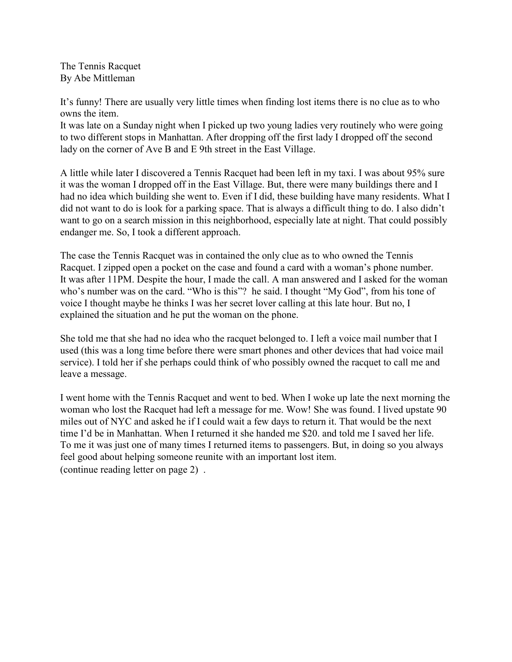The Tennis Racquet By Abe Mittleman

It's funny! There are usually very little times when finding lost items there is no clue as to who owns the item.

It was late on a Sunday night when I picked up two young ladies very routinely who were going to two different stops in Manhattan. After dropping off the first lady I dropped off the second lady on the corner of Ave B and E 9th street in the East Village.

A little while later I discovered a Tennis Racquet had been left in my taxi. I was about 95% sure it was the woman I dropped off in the East Village. But, there were many buildings there and I had no idea which building she went to. Even if I did, these building have many residents. What I did not want to do is look for a parking space. That is always a difficult thing to do. I also didn't want to go on a search mission in this neighborhood, especially late at night. That could possibly endanger me. So, I took a different approach.

The case the Tennis Racquet was in contained the only clue as to who owned the Tennis Racquet. I zipped open a pocket on the case and found a card with a woman's phone number. It was after 11PM. Despite the hour, I made the call. A man answered and I asked for the woman who's number was on the card. "Who is this"? he said. I thought "My God", from his tone of voice I thought maybe he thinks I was her secret lover calling at this late hour. But no, I explained the situation and he put the woman on the phone.

She told me that she had no idea who the racquet belonged to. I left a voice mail number that I used (this was a long time before there were smart phones and other devices that had voice mail service). I told her if she perhaps could think of who possibly owned the racquet to call me and leave a message.

I went home with the Tennis Racquet and went to bed. When I woke up late the next morning the woman who lost the Racquet had left a message for me. Wow! She was found. I lived upstate 90 miles out of NYC and asked he if I could wait a few days to return it. That would be the next time I'd be in Manhattan. When I returned it she handed me \$20. and told me I saved her life. To me it was just one of many times I returned items to passengers. But, in doing so you always feel good about helping someone reunite with an important lost item. (continue reading letter on page 2) .